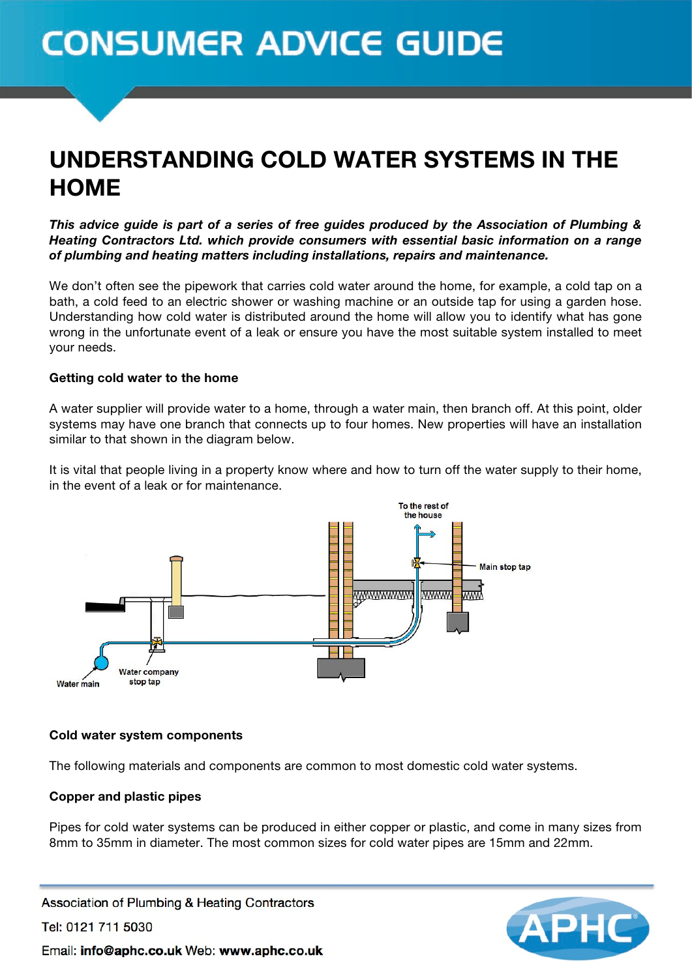# **CONSUMER ADVICE GUIDE**

# UNDERSTANDING COLD WATER SYSTEMS IN THE **HOME**

*This advice guide is part of a series of free guides produced by the Association of Plumbing & Heating Contractors Ltd. which provide consumers with essential basic information on a range of plumbing and heating matters including installations, repairs and maintenance.*

We don't often see the pipework that carries cold water around the home, for example, a cold tap on a bath, a cold feed to an electric shower or washing machine or an outside tap for using a garden hose. Understanding how cold water is distributed around the home will allow you to identify what has gone wrong in the unfortunate event of a leak or ensure you have the most suitable system installed to meet your needs.

# Getting cold water to the home

A water supplier will provide water to a home, through a water main, then branch off. At this point, older systems may have one branch that connects up to four homes. New properties will have an installation similar to that shown in the diagram below.

It is vital that people living in a property know where and how to turn off the water supply to their home, in the event of a leak or for maintenance.



#### Cold water system components

The following materials and components are common to most domestic cold water systems.

# Copper and plastic pipes

Pipes for cold water systems can be produced in either copper or plastic, and come in many sizes from 8mm to 35mm in diameter. The most common sizes for cold water pipes are 15mm and 22mm.

Association of Plumbing & Heating Contractors Tel: 0121 711 5030 Email: info@aphc.co.uk Web: www.aphc.co.uk

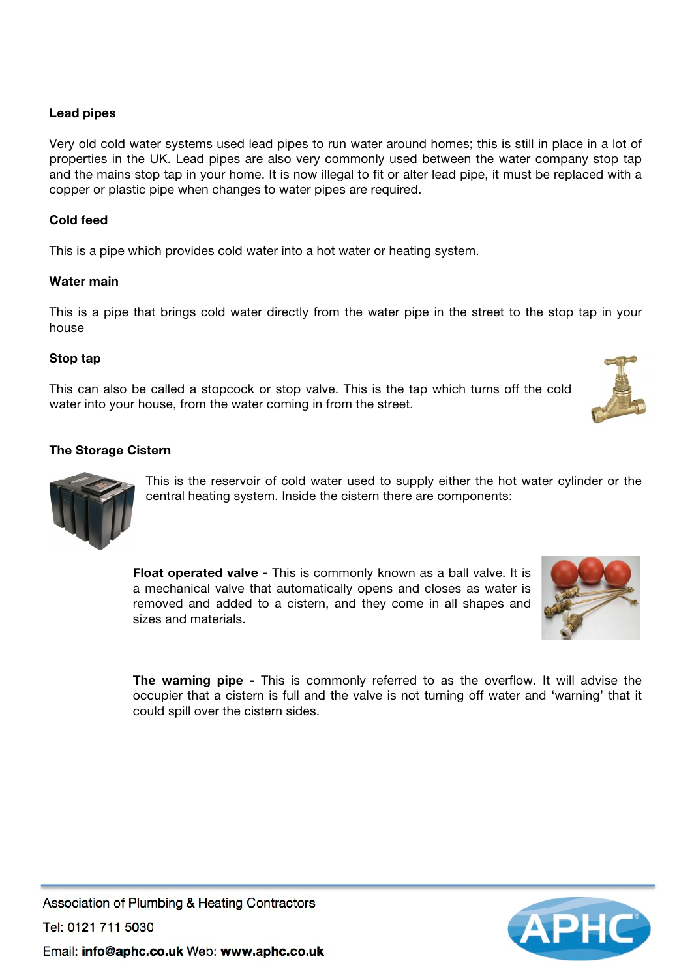# Lead pipes

Very old cold water systems used lead pipes to run water around homes; this is still in place in a lot of properties in the UK. Lead pipes are also very commonly used between the water company stop tap and the mains stop tap in your home. It is now illegal to fit or alter lead pipe, it must be replaced with a copper or plastic pipe when changes to water pipes are required.

# Cold feed

This is a pipe which provides cold water into a hot water or heating system.

#### Water main

This is a pipe that brings cold water directly from the water pipe in the street to the stop tap in your house

# Stop tap

This can also be called a stopcock or stop valve. This is the tap which turns off the cold water into your house, from the water coming in from the street.

#### The Storage Cistern

This is the reservoir of cold water used to supply either the hot water cylinder or the central heating system. Inside the cistern there are components:

Float operated valve - This is commonly known as a ball valve. It is a mechanical valve that automatically opens and closes as water is removed and added to a cistern, and they come in all shapes and sizes and materials.

**The warning pipe -** This is commonly referred to as the overflow. It will advise the occupier that a cistern is full and the valve is not turning off water and 'warning' that it could spill over the cistern sides.







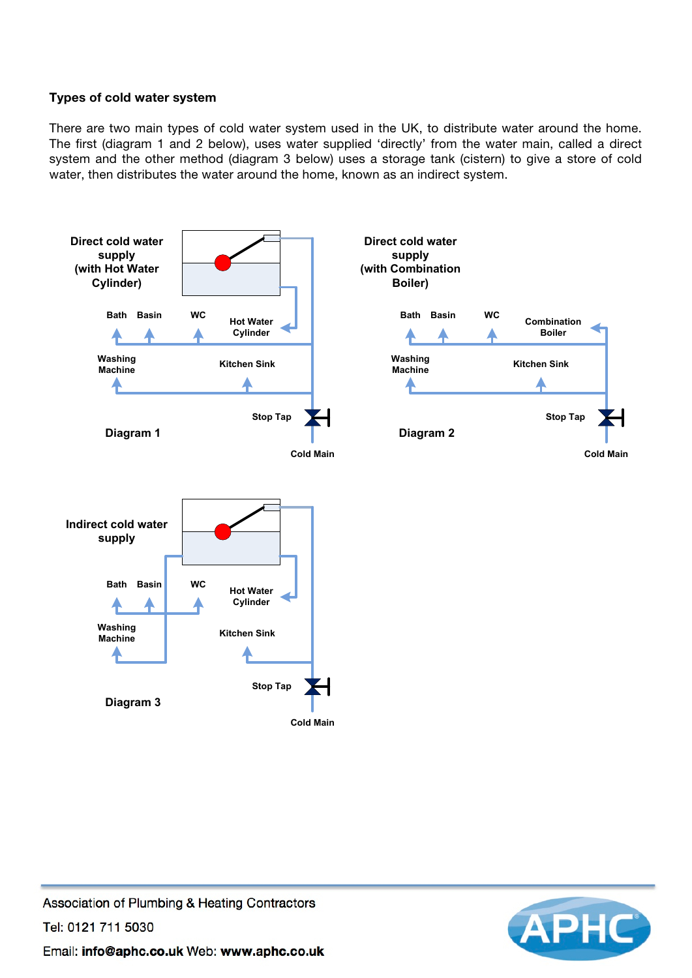# Types of cold water system

There are two main types of cold water system used in the UK, to distribute water around the home. The first (diagram 1 and 2 below), uses water supplied 'directly' from the water main, called a direct system and the other method (diagram 3 below) uses a storage tank (cistern) to give a store of cold water, then distributes the water around the home, known as an indirect system.



Association of Plumbing & Heating Contractors Tel: 0121 711 5030 Email: info@aphc.co.uk Web: www.aphc.co.uk